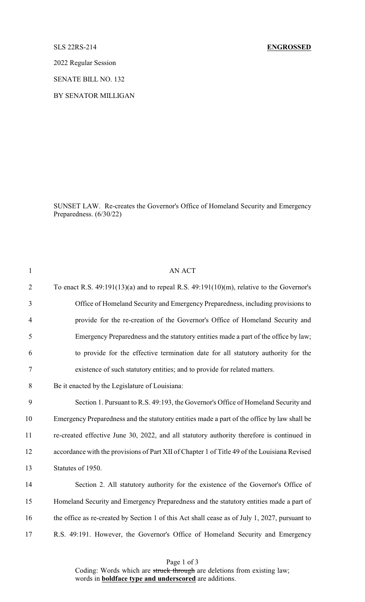## SLS 22RS-214 **ENGROSSED**

2022 Regular Session

SENATE BILL NO. 132

BY SENATOR MILLIGAN

SUNSET LAW. Re-creates the Governor's Office of Homeland Security and Emergency Preparedness. (6/30/22)

| $\mathbf{1}$   | <b>AN ACT</b>                                                                                 |
|----------------|-----------------------------------------------------------------------------------------------|
| $\overline{2}$ | To enact R.S. $49:191(13)(a)$ and to repeal R.S. $49:191(10)(m)$ , relative to the Governor's |
| 3              | Office of Homeland Security and Emergency Preparedness, including provisions to               |
| $\overline{4}$ | provide for the re-creation of the Governor's Office of Homeland Security and                 |
| 5              | Emergency Preparedness and the statutory entities made a part of the office by law;           |
| 6              | to provide for the effective termination date for all statutory authority for the             |
| $\tau$         | existence of such statutory entities; and to provide for related matters.                     |
| 8              | Be it enacted by the Legislature of Louisiana:                                                |
| 9              | Section 1. Pursuant to R.S. 49:193, the Governor's Office of Homeland Security and            |
| 10             | Emergency Preparedness and the statutory entities made a part of the office by law shall be   |
| 11             | re-created effective June 30, 2022, and all statutory authority therefore is continued in     |
| 12             | accordance with the provisions of Part XII of Chapter 1 of Title 49 of the Louisiana Revised  |
| 13             | Statutes of 1950.                                                                             |
| 14             | Section 2. All statutory authority for the existence of the Governor's Office of              |
| 15             | Homeland Security and Emergency Preparedness and the statutory entities made a part of        |
| 16             | the office as re-created by Section 1 of this Act shall cease as of July 1, 2027, pursuant to |
| 17             | R.S. 49:191. However, the Governor's Office of Homeland Security and Emergency                |
|                |                                                                                               |

Page 1 of 3

Coding: Words which are struck through are deletions from existing law; words in **boldface type and underscored** are additions.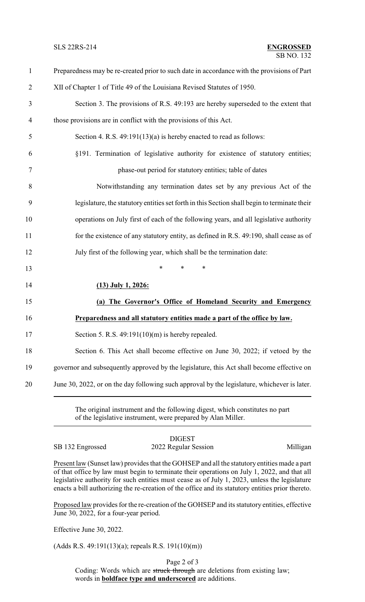### SB NO. 132 SLS 22RS-214 **ENGROSSED**

| $\mathbf{1}$   | Preparedness may be re-created prior to such date in accordance with the provisions of Part  |
|----------------|----------------------------------------------------------------------------------------------|
| $\overline{2}$ | XII of Chapter 1 of Title 49 of the Louisiana Revised Statutes of 1950.                      |
| 3              | Section 3. The provisions of R.S. 49:193 are hereby superseded to the extent that            |
| $\overline{4}$ | those provisions are in conflict with the provisions of this Act.                            |
| 5              | Section 4. R.S. $49:191(13)(a)$ is hereby enacted to read as follows:                        |
| 6              | §191. Termination of legislative authority for existence of statutory entities;              |
| 7              | phase-out period for statutory entities; table of dates                                      |
| $8\,$          | Notwithstanding any termination dates set by any previous Act of the                         |
| 9              | legislature, the statutory entities set forth in this Section shall begin to terminate their |
| 10             | operations on July first of each of the following years, and all legislative authority       |
| 11             | for the existence of any statutory entity, as defined in R.S. 49:190, shall cease as of      |
| 12             | July first of the following year, which shall be the termination date:                       |
| 13             | $\ast$<br>$\ast$<br>*                                                                        |
| 14             | $(13)$ July 1, 2026:                                                                         |
| 15             | (a) The Governor's Office of Homeland Security and Emergency                                 |
| 16             | Preparedness and all statutory entities made a part of the office by law.                    |
| 17             | Section 5. R.S. $49:191(10)(m)$ is hereby repealed.                                          |
| 18             | Section 6. This Act shall become effective on June 30, 2022; if vetoed by the                |
| 19             | governor and subsequently approved by the legislature, this Act shall become effective on    |
| 20             | June 30, 2022, or on the day following such approval by the legislature, whichever is later. |
|                |                                                                                              |

The original instrument and the following digest, which constitutes no part of the legislative instrument, were prepared by Alan Miller.

DIGEST SB 132 Engrossed 2022 Regular Session Milligan

Present law (Sunset law) provides that the GOHSEP and all the statutory entities made a part of that office by law must begin to terminate their operations on July 1, 2022, and that all legislative authority for such entities must cease as of July 1, 2023, unless the legislature enacts a bill authorizing the re-creation of the office and its statutory entities prior thereto.

Proposed law provides for the re-creation of the GOHSEP and its statutory entities, effective June 30, 2022, for a four-year period.

Effective June 30, 2022.

(Adds R.S. 49:191(13)(a); repeals R.S. 191(10)(m))

Page 2 of 3

Coding: Words which are struck through are deletions from existing law; words in **boldface type and underscored** are additions.